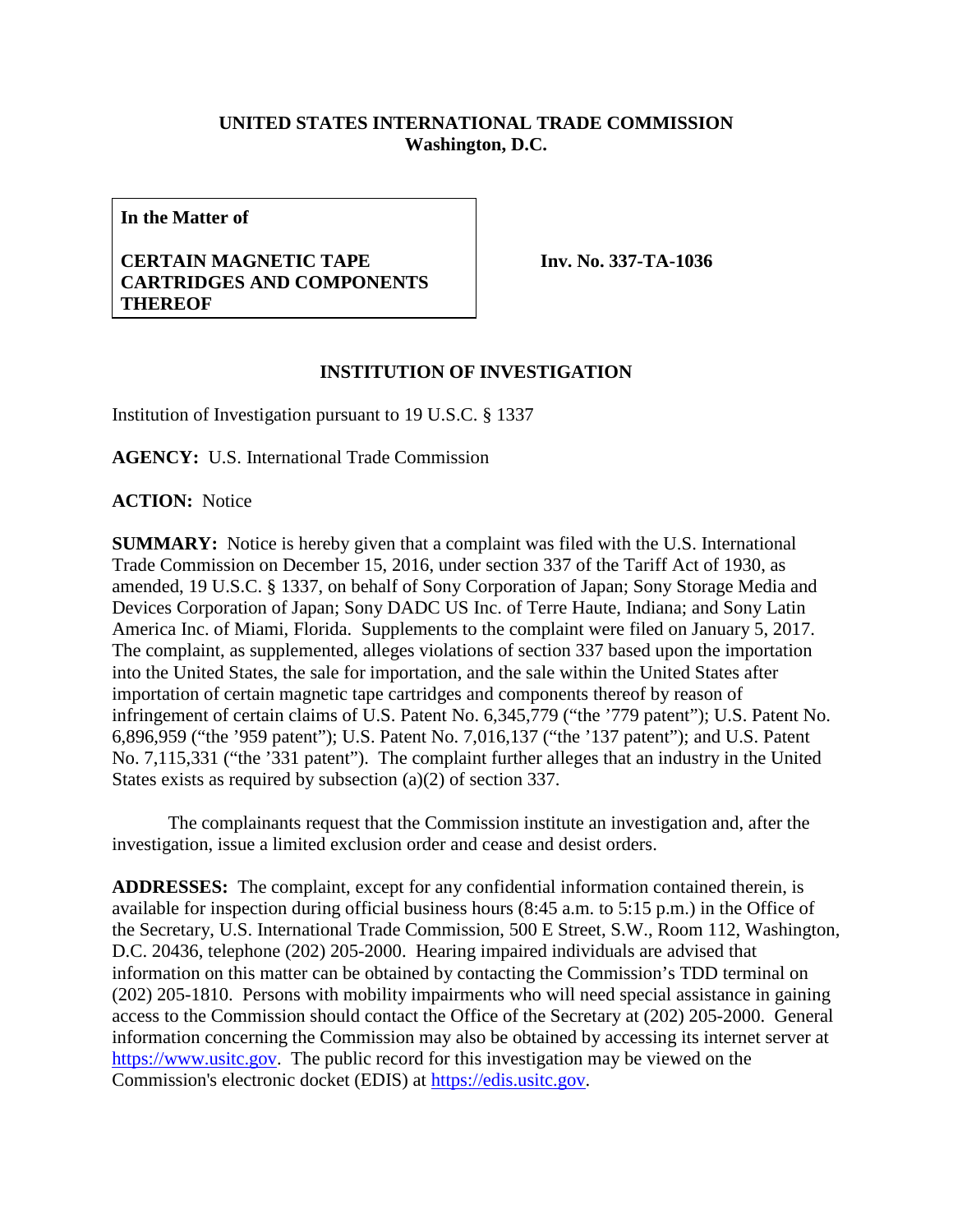## **UNITED STATES INTERNATIONAL TRADE COMMISSION Washington, D.C.**

**In the Matter of**

## **CERTAIN MAGNETIC TAPE CARTRIDGES AND COMPONENTS THEREOF**

**Inv. No. 337-TA-1036**

## **INSTITUTION OF INVESTIGATION**

Institution of Investigation pursuant to 19 U.S.C. § 1337

**AGENCY:** U.S. International Trade Commission

**ACTION:** Notice

**SUMMARY:** Notice is hereby given that a complaint was filed with the U.S. International Trade Commission on December 15, 2016, under section 337 of the Tariff Act of 1930, as amended, 19 U.S.C. § 1337, on behalf of Sony Corporation of Japan; Sony Storage Media and Devices Corporation of Japan; Sony DADC US Inc. of Terre Haute, Indiana; and Sony Latin America Inc. of Miami, Florida. Supplements to the complaint were filed on January 5, 2017. The complaint, as supplemented, alleges violations of section 337 based upon the importation into the United States, the sale for importation, and the sale within the United States after importation of certain magnetic tape cartridges and components thereof by reason of infringement of certain claims of U.S. Patent No. 6,345,779 ("the '779 patent"); U.S. Patent No. 6,896,959 ("the '959 patent"); U.S. Patent No. 7,016,137 ("the '137 patent"); and U.S. Patent No. 7,115,331 ("the '331 patent"). The complaint further alleges that an industry in the United States exists as required by subsection (a)(2) of section 337.

The complainants request that the Commission institute an investigation and, after the investigation, issue a limited exclusion order and cease and desist orders.

**ADDRESSES:** The complaint, except for any confidential information contained therein, is available for inspection during official business hours (8:45 a.m. to 5:15 p.m.) in the Office of the Secretary, U.S. International Trade Commission, 500 E Street, S.W., Room 112, Washington, D.C. 20436, telephone (202) 205-2000. Hearing impaired individuals are advised that information on this matter can be obtained by contacting the Commission's TDD terminal on (202) 205-1810. Persons with mobility impairments who will need special assistance in gaining access to the Commission should contact the Office of the Secretary at (202) 205-2000. General information concerning the Commission may also be obtained by accessing its internet server at [https://www.usitc.gov.](https://www.usitc.gov/) The public record for this investigation may be viewed on the Commission's electronic docket (EDIS) at [https://edis.usitc.gov.](https://edis.usitc.gov/)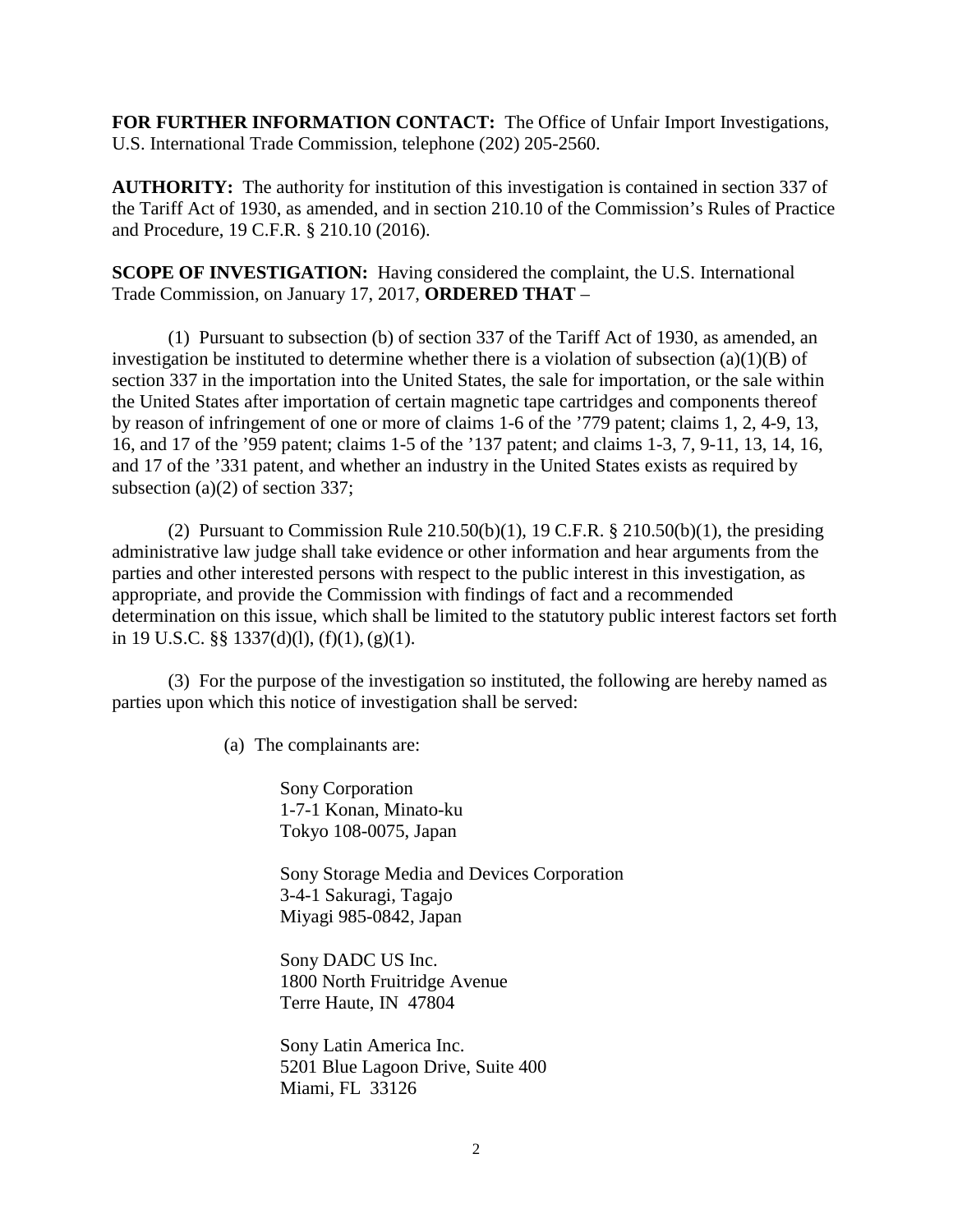**FOR FURTHER INFORMATION CONTACT:** The Office of Unfair Import Investigations, U.S. International Trade Commission, telephone (202) 205-2560.

**AUTHORITY:** The authority for institution of this investigation is contained in section 337 of the Tariff Act of 1930, as amended, and in section 210.10 of the Commission's Rules of Practice and Procedure, 19 C.F.R. § 210.10 (2016).

**SCOPE OF INVESTIGATION:** Having considered the complaint, the U.S. International Trade Commission, on January 17, 2017, **ORDERED THAT** –

(1) Pursuant to subsection (b) of section 337 of the Tariff Act of 1930, as amended, an investigation be instituted to determine whether there is a violation of subsection  $(a)(1)(B)$  of section 337 in the importation into the United States, the sale for importation, or the sale within the United States after importation of certain magnetic tape cartridges and components thereof by reason of infringement of one or more of claims 1-6 of the '779 patent; claims 1, 2, 4-9, 13, 16, and 17 of the '959 patent; claims 1-5 of the '137 patent; and claims 1-3, 7, 9-11, 13, 14, 16, and 17 of the '331 patent, and whether an industry in the United States exists as required by subsection (a)(2) of section 337;

(2) Pursuant to Commission Rule  $210.50(b)(1)$ , 19 C.F.R. §  $210.50(b)(1)$ , the presiding administrative law judge shall take evidence or other information and hear arguments from the parties and other interested persons with respect to the public interest in this investigation, as appropriate, and provide the Commission with findings of fact and a recommended determination on this issue, which shall be limited to the statutory public interest factors set forth in 19 U.S.C.  $\S$ § 1337(d)(l), (f)(1), (g)(1).

(3) For the purpose of the investigation so instituted, the following are hereby named as parties upon which this notice of investigation shall be served:

(a) The complainants are:

Sony Corporation 1-7-1 Konan, Minato-ku Tokyo 108-0075, Japan

Sony Storage Media and Devices Corporation 3-4-1 Sakuragi, Tagajo Miyagi 985-0842, Japan

Sony DADC US Inc. 1800 North Fruitridge Avenue Terre Haute, IN 47804

Sony Latin America Inc. 5201 Blue Lagoon Drive, Suite 400 Miami, FL 33126